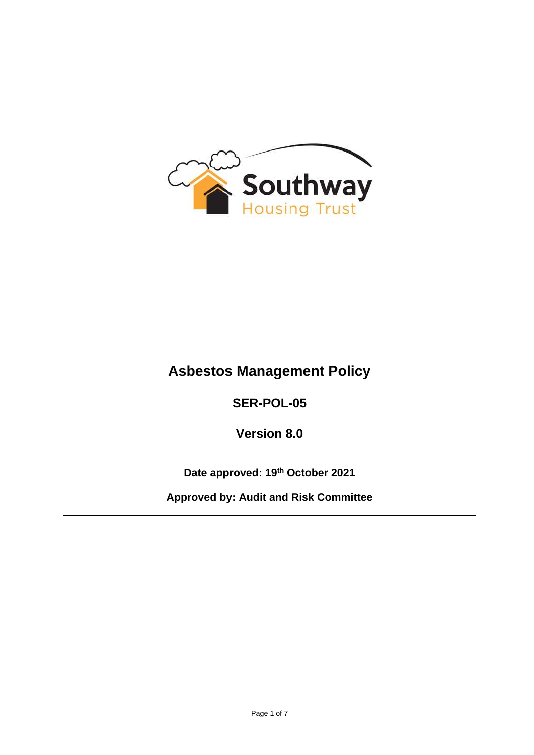

# **Asbestos Management Policy**

**SER-POL-05**

**Version 8.0**

**Date approved: 19th October 2021**

**Approved by: Audit and Risk Committee**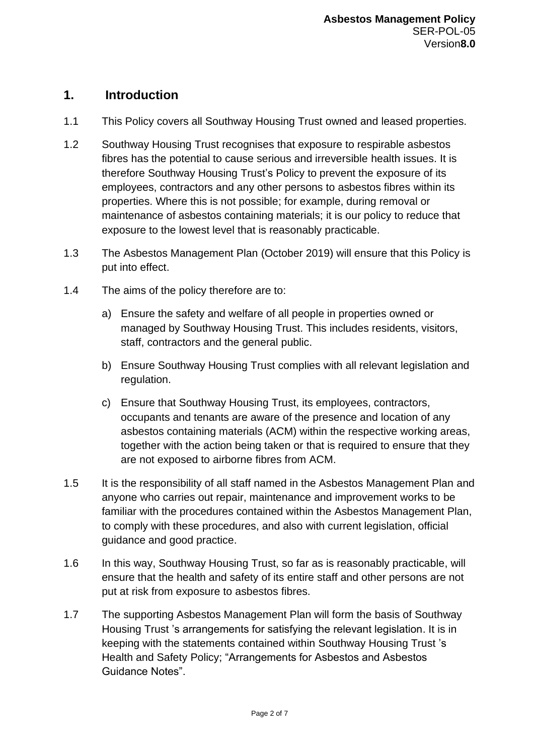#### **1. Introduction**

- 1.1 This Policy covers all Southway Housing Trust owned and leased properties.
- 1.2 Southway Housing Trust recognises that exposure to respirable asbestos fibres has the potential to cause serious and irreversible health issues. It is therefore Southway Housing Trust's Policy to prevent the exposure of its employees, contractors and any other persons to asbestos fibres within its properties. Where this is not possible; for example, during removal or maintenance of asbestos containing materials; it is our policy to reduce that exposure to the lowest level that is reasonably practicable.
- 1.3 The Asbestos Management Plan (October 2019) will ensure that this Policy is put into effect.
- 1.4 The aims of the policy therefore are to:
	- a) Ensure the safety and welfare of all people in properties owned or managed by Southway Housing Trust. This includes residents, visitors, staff, contractors and the general public.
	- b) Ensure Southway Housing Trust complies with all relevant legislation and regulation.
	- c) Ensure that Southway Housing Trust, its employees, contractors, occupants and tenants are aware of the presence and location of any asbestos containing materials (ACM) within the respective working areas, together with the action being taken or that is required to ensure that they are not exposed to airborne fibres from ACM.
- 1.5 It is the responsibility of all staff named in the Asbestos Management Plan and anyone who carries out repair, maintenance and improvement works to be familiar with the procedures contained within the Asbestos Management Plan, to comply with these procedures, and also with current legislation, official guidance and good practice.
- 1.6 In this way, Southway Housing Trust, so far as is reasonably practicable. will ensure that the health and safety of its entire staff and other persons are not put at risk from exposure to asbestos fibres.
- 1.7 The supporting Asbestos Management Plan will form the basis of Southway Housing Trust 's arrangements for satisfying the relevant legislation. It is in keeping with the statements contained within Southway Housing Trust 's Health and Safety Policy; "Arrangements for Asbestos and Asbestos Guidance Notes".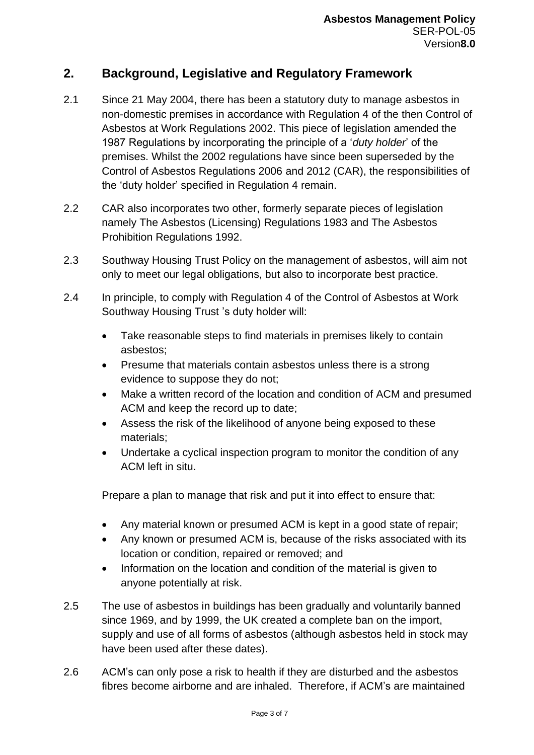### **2. Background, Legislative and Regulatory Framework**

- 2.1 Since 21 May 2004, there has been a statutory duty to manage asbestos in non-domestic premises in accordance with Regulation 4 of the then Control of Asbestos at Work Regulations 2002. This piece of legislation amended the 1987 Regulations by incorporating the principle of a '*duty holder*' of the premises. Whilst the 2002 regulations have since been superseded by the Control of Asbestos Regulations 2006 and 2012 (CAR), the responsibilities of the 'duty holder' specified in Regulation 4 remain.
- 2.2 CAR also incorporates two other, formerly separate pieces of legislation namely The Asbestos (Licensing) Regulations 1983 and The Asbestos Prohibition Regulations 1992.
- 2.3 Southway Housing Trust Policy on the management of asbestos, will aim not only to meet our legal obligations, but also to incorporate best practice.
- 2.4 In principle, to comply with Regulation 4 of the Control of Asbestos at Work Southway Housing Trust 's duty holder will:
	- Take reasonable steps to find materials in premises likely to contain asbestos;
	- Presume that materials contain asbestos unless there is a strong evidence to suppose they do not;
	- Make a written record of the location and condition of ACM and presumed ACM and keep the record up to date;
	- Assess the risk of the likelihood of anyone being exposed to these materials;
	- Undertake a cyclical inspection program to monitor the condition of any ACM left in situ.

Prepare a plan to manage that risk and put it into effect to ensure that:

- Any material known or presumed ACM is kept in a good state of repair;
- Any known or presumed ACM is, because of the risks associated with its location or condition, repaired or removed; and
- Information on the location and condition of the material is given to anyone potentially at risk.
- 2.5 The use of asbestos in buildings has been gradually and voluntarily banned since 1969, and by 1999, the UK created a complete ban on the import, supply and use of all forms of asbestos (although asbestos held in stock may have been used after these dates).
- 2.6 ACM's can only pose a risk to health if they are disturbed and the asbestos fibres become airborne and are inhaled. Therefore, if ACM's are maintained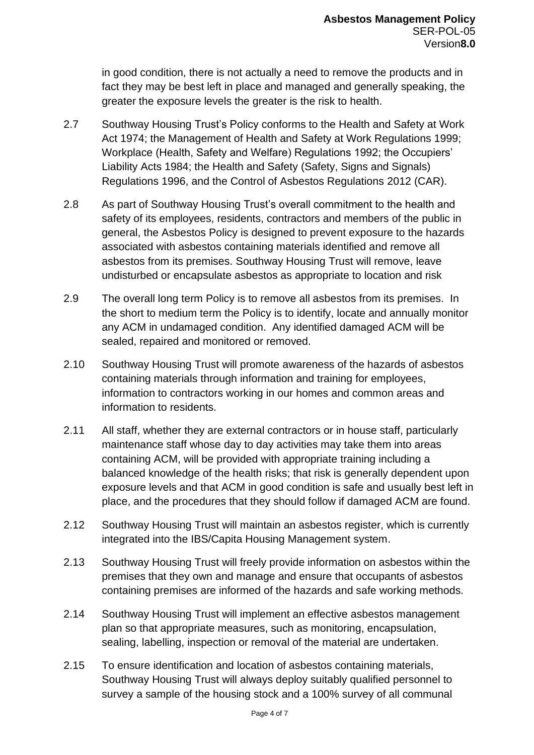in good condition, there is not actually a need to remove the products and in fact they may be best left in place and managed and generally speaking, the greater the exposure levels the greater is the risk to health.

- 2.7 Southway Housing Trust's Policy conforms to the Health and Safety at Work Act 1974; the Management of Health and Safety at Work Regulations 1999; Workplace (Health, Safety and Welfare) Regulations 1992; the Occupiers' Liability Acts 1984; the Health and Safety (Safety, Signs and Signals) Regulations 1996, and the Control of Asbestos Regulations 2012 (CAR).
- 2.8 As part of Southway Housing Trust's overall commitment to the health and safety of its employees, residents, contractors and members of the public in general, the Asbestos Policy is designed to prevent exposure to the hazards associated with asbestos containing materials identified and remove all asbestos from its premises. Southway Housing Trust will remove, leave undisturbed or encapsulate asbestos as appropriate to location and risk
- 2.9 The overall long term Policy is to remove all asbestos from its premises. In the short to medium term the Policy is to identify, locate and annually monitor any ACM in undamaged condition. Any identified damaged ACM will be sealed, repaired and monitored or removed.
- 2.10 Southway Housing Trust will promote awareness of the hazards of asbestos containing materials through information and training for employees, information to contractors working in our homes and common areas and information to residents.
- 2.11 All staff, whether they are external contractors or in house staff, particularly maintenance staff whose day to day activities may take them into areas containing ACM, will be provided with appropriate training including a balanced knowledge of the health risks; that risk is generally dependent upon exposure levels and that ACM in good condition is safe and usually best left in place, and the procedures that they should follow if damaged ACM are found.
- 2.12 Southway Housing Trust will maintain an asbestos register, which is currently integrated into the IBS/Capita Housing Management system.
- 2.13 Southway Housing Trust will freely provide information on asbestos within the premises that they own and manage and ensure that occupants of asbestos containing premises are informed of the hazards and safe working methods.
- 2.14 Southway Housing Trust will implement an effective asbestos management plan so that appropriate measures, such as monitoring, encapsulation, sealing, labelling, inspection or removal of the material are undertaken.
- 2.15 To ensure identification and location of asbestos containing materials, Southway Housing Trust will always deploy suitably qualified personnel to survey a sample of the housing stock and a 100% survey of all communal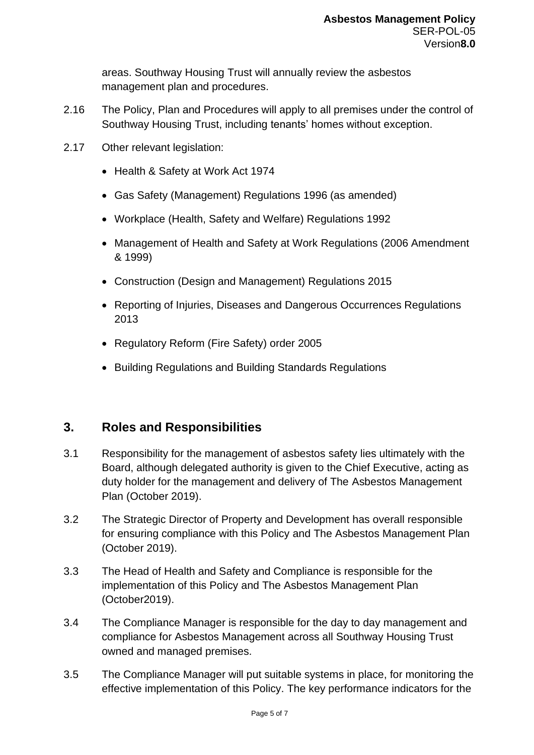areas. Southway Housing Trust will annually review the asbestos management plan and procedures.

- 2.16 The Policy, Plan and Procedures will apply to all premises under the control of Southway Housing Trust, including tenants' homes without exception.
- 2.17 Other relevant legislation:
	- Health & Safety at Work Act 1974
	- Gas Safety (Management) Regulations 1996 (as amended)
	- Workplace (Health, Safety and Welfare) Regulations 1992
	- Management of Health and Safety at Work Regulations (2006 Amendment & 1999)
	- Construction (Design and Management) Regulations 2015
	- Reporting of Injuries, Diseases and Dangerous Occurrences Regulations 2013
	- Regulatory Reform (Fire Safety) order 2005
	- Building Regulations and Building Standards Regulations

## **3. Roles and Responsibilities**

- 3.1 Responsibility for the management of asbestos safety lies ultimately with the Board, although delegated authority is given to the Chief Executive, acting as duty holder for the management and delivery of The Asbestos Management Plan (October 2019).
- 3.2 The Strategic Director of Property and Development has overall responsible for ensuring compliance with this Policy and The Asbestos Management Plan (October 2019).
- 3.3 The Head of Health and Safety and Compliance is responsible for the implementation of this Policy and The Asbestos Management Plan (October2019).
- 3.4 The Compliance Manager is responsible for the day to day management and compliance for Asbestos Management across all Southway Housing Trust owned and managed premises.
- 3.5 The Compliance Manager will put suitable systems in place, for monitoring the effective implementation of this Policy. The key performance indicators for the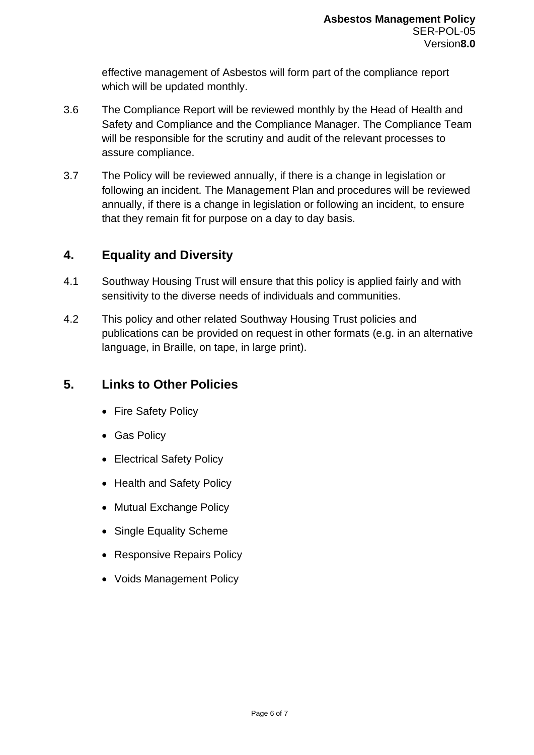effective management of Asbestos will form part of the compliance report which will be updated monthly.

- 3.6 The Compliance Report will be reviewed monthly by the Head of Health and Safety and Compliance and the Compliance Manager. The Compliance Team will be responsible for the scrutiny and audit of the relevant processes to assure compliance.
- 3.7 The Policy will be reviewed annually, if there is a change in legislation or following an incident. The Management Plan and procedures will be reviewed annually, if there is a change in legislation or following an incident, to ensure that they remain fit for purpose on a day to day basis.

### **4. Equality and Diversity**

- 4.1 Southway Housing Trust will ensure that this policy is applied fairly and with sensitivity to the diverse needs of individuals and communities.
- 4.2 This policy and other related Southway Housing Trust policies and publications can be provided on request in other formats (e.g. in an alternative language, in Braille, on tape, in large print).

### **5. Links to Other Policies**

- Fire Safety Policy
- Gas Policy
- Electrical Safety Policy
- Health and Safety Policy
- Mutual Exchange Policy
- Single Equality Scheme
- Responsive Repairs Policy
- Voids Management Policy